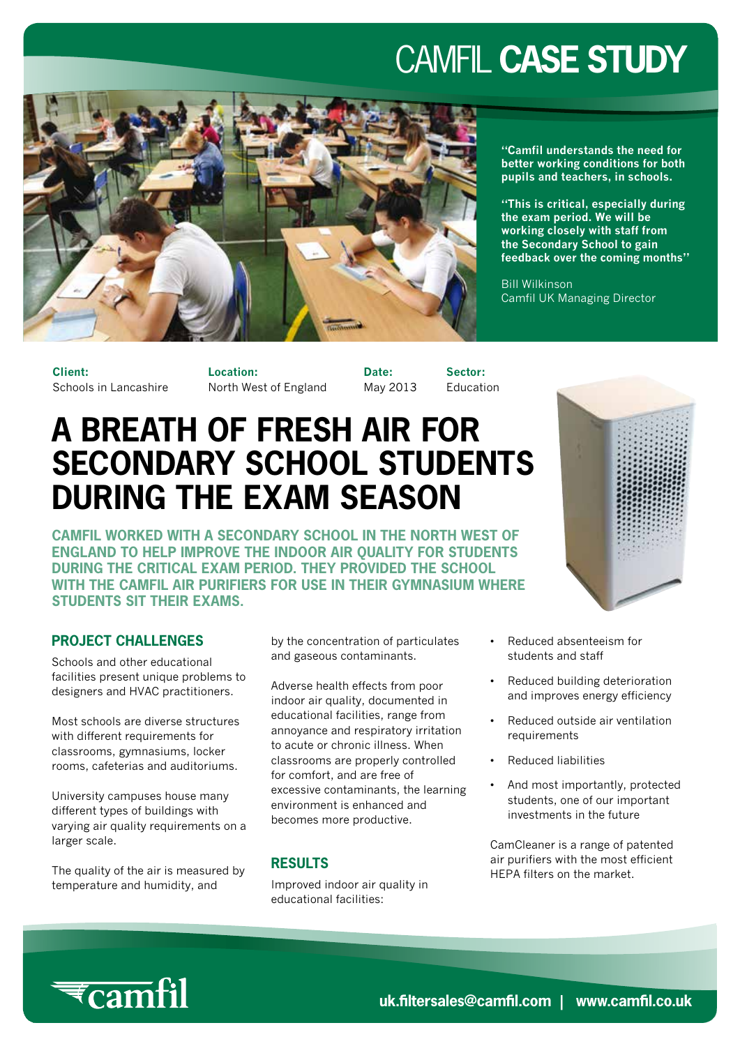# CAMFIL **CASE STUDY**



**"Camfil understands the need for better working conditions for both pupils and teachers, in schools.**

**"This is critical, especially during the exam period. We will be working closely with staff from the Secondary School to gain feedback over the coming months"**

Bill Wilkinson Camfil UK Managing Director

**Client:** Schools in Lancashire **Location:** North West of England **Date:** May 2013 **Sector:** Education

### **A BREATH OF FRESH AIR FOR SECONDARY SCHOOL STUDENTS DURING THE EXAM SEASON**

**CAMFIL WORKED WITH A SECONDARY SCHOOL IN THE NORTH WEST OF ENGLAND TO HELP IMPROVE THE INDOOR AIR QUALITY FOR STUDENTS DURING THE CRITICAL EXAM PERIOD. THEY PROVIDED THE SCHOOL WITH THE CAMFIL AIR PURIFIERS FOR USE IN THEIR GYMNASIUM WHERE STUDENTS SIT THEIR EXAMS.**

#### **PROJECT CHALLENGES**

Schools and other educational facilities present unique problems to designers and HVAC practitioners.

Most schools are diverse structures with different requirements for classrooms, gymnasiums, locker rooms, cafeterias and auditoriums.

University campuses house many different types of buildings with varying air quality requirements on a larger scale.

The quality of the air is measured by temperature and humidity, and

by the concentration of particulates and gaseous contaminants.

Adverse health effects from poor indoor air quality, documented in educational facilities, range from annoyance and respiratory irritation to acute or chronic illness. When classrooms are properly controlled for comfort, and are free of excessive contaminants, the learning environment is enhanced and becomes more productive.

#### **RESULTS**

Improved indoor air quality in educational facilities:



- Reduced absenteeism for students and staff
- Reduced building deterioration and improves energy efficiency
- Reduced outside air ventilation requirements
- Reduced liabilities
- And most importantly, protected students, one of our important investments in the future

CamCleaner is a range of patented air purifiers with the most efficient HEPA filters on the market.